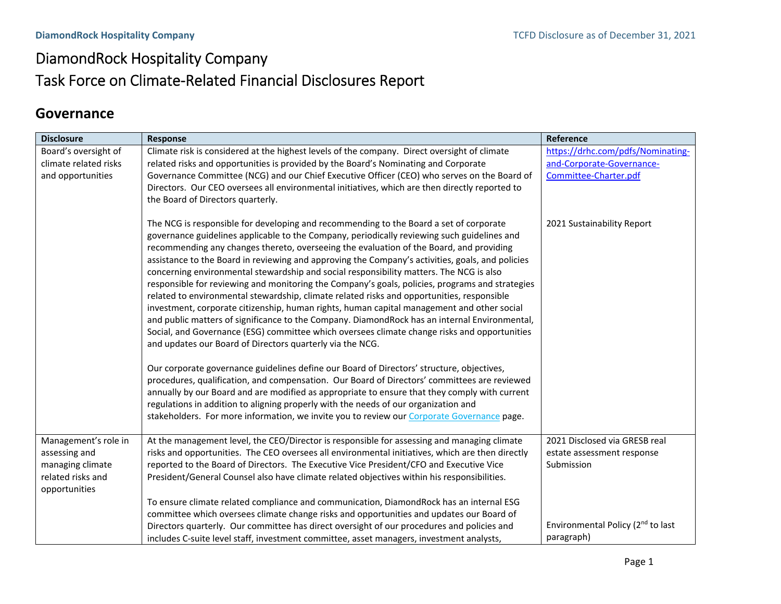# DiamondRock Hospitality Company Task Force on Climate‐Related Financial Disclosures Report

## **Governance**

| <b>Disclosure</b>     | <b>Response</b>                                                                                                                                                                        | Reference                                     |
|-----------------------|----------------------------------------------------------------------------------------------------------------------------------------------------------------------------------------|-----------------------------------------------|
| Board's oversight of  | Climate risk is considered at the highest levels of the company. Direct oversight of climate                                                                                           | https://drhc.com/pdfs/Nominating-             |
| climate related risks | related risks and opportunities is provided by the Board's Nominating and Corporate                                                                                                    | and-Corporate-Governance-                     |
| and opportunities     | Governance Committee (NCG) and our Chief Executive Officer (CEO) who serves on the Board of                                                                                            | Committee-Charter.pdf                         |
|                       | Directors. Our CEO oversees all environmental initiatives, which are then directly reported to                                                                                         |                                               |
|                       | the Board of Directors quarterly.                                                                                                                                                      |                                               |
|                       | The NCG is responsible for developing and recommending to the Board a set of corporate                                                                                                 | 2021 Sustainability Report                    |
|                       | governance guidelines applicable to the Company, periodically reviewing such guidelines and                                                                                            |                                               |
|                       | recommending any changes thereto, overseeing the evaluation of the Board, and providing                                                                                                |                                               |
|                       | assistance to the Board in reviewing and approving the Company's activities, goals, and policies                                                                                       |                                               |
|                       | concerning environmental stewardship and social responsibility matters. The NCG is also                                                                                                |                                               |
|                       | responsible for reviewing and monitoring the Company's goals, policies, programs and strategies                                                                                        |                                               |
|                       | related to environmental stewardship, climate related risks and opportunities, responsible                                                                                             |                                               |
|                       | investment, corporate citizenship, human rights, human capital management and other social                                                                                             |                                               |
|                       | and public matters of significance to the Company. DiamondRock has an internal Environmental,                                                                                          |                                               |
|                       | Social, and Governance (ESG) committee which oversees climate change risks and opportunities                                                                                           |                                               |
|                       | and updates our Board of Directors quarterly via the NCG.                                                                                                                              |                                               |
|                       | Our corporate governance guidelines define our Board of Directors' structure, objectives,                                                                                              |                                               |
|                       | procedures, qualification, and compensation. Our Board of Directors' committees are reviewed                                                                                           |                                               |
|                       | annually by our Board and are modified as appropriate to ensure that they comply with current                                                                                          |                                               |
|                       | regulations in addition to aligning properly with the needs of our organization and                                                                                                    |                                               |
|                       | stakeholders. For more information, we invite you to review our Corporate Governance page.                                                                                             |                                               |
|                       |                                                                                                                                                                                        |                                               |
| Management's role in  | At the management level, the CEO/Director is responsible for assessing and managing climate                                                                                            | 2021 Disclosed via GRESB real                 |
| assessing and         | risks and opportunities. The CEO oversees all environmental initiatives, which are then directly                                                                                       | estate assessment response                    |
| managing climate      | reported to the Board of Directors. The Executive Vice President/CFO and Executive Vice                                                                                                | Submission                                    |
| related risks and     | President/General Counsel also have climate related objectives within his responsibilities.                                                                                            |                                               |
| opportunities         |                                                                                                                                                                                        |                                               |
|                       | To ensure climate related compliance and communication, DiamondRock has an internal ESG                                                                                                |                                               |
|                       | committee which oversees climate change risks and opportunities and updates our Board of                                                                                               | Environmental Policy (2 <sup>nd</sup> to last |
|                       | Directors quarterly. Our committee has direct oversight of our procedures and policies and<br>includes C-suite level staff, investment committee, asset managers, investment analysts, | paragraph)                                    |
|                       |                                                                                                                                                                                        |                                               |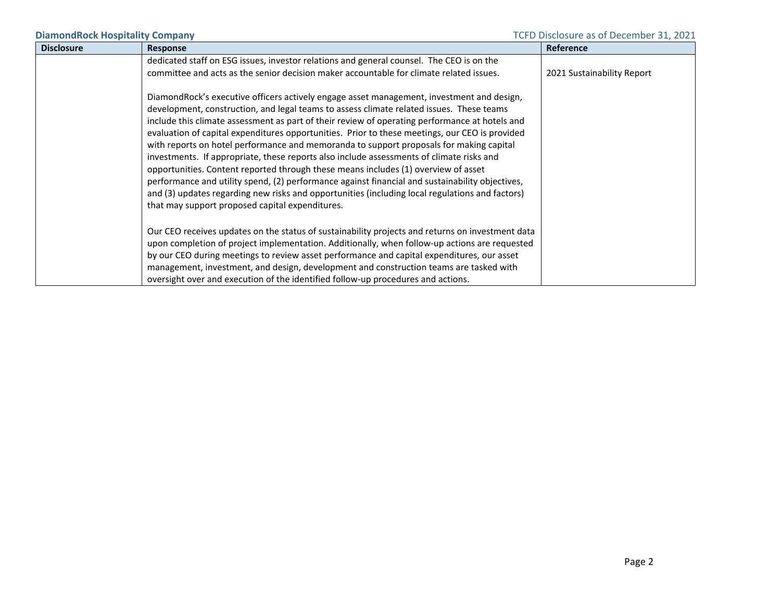| <b>Disclosure</b> | <b>Response</b>                                                                                                                                                                                                                                                                                                                                                                                                                                                                                                                                                                                                                                                                                                                                                                                                                                                                                                                 | Reference                  |
|-------------------|---------------------------------------------------------------------------------------------------------------------------------------------------------------------------------------------------------------------------------------------------------------------------------------------------------------------------------------------------------------------------------------------------------------------------------------------------------------------------------------------------------------------------------------------------------------------------------------------------------------------------------------------------------------------------------------------------------------------------------------------------------------------------------------------------------------------------------------------------------------------------------------------------------------------------------|----------------------------|
|                   | dedicated staff on ESG issues, investor relations and general counsel. The CEO is on the                                                                                                                                                                                                                                                                                                                                                                                                                                                                                                                                                                                                                                                                                                                                                                                                                                        |                            |
|                   | committee and acts as the senior decision maker accountable for climate related issues.                                                                                                                                                                                                                                                                                                                                                                                                                                                                                                                                                                                                                                                                                                                                                                                                                                         | 2021 Sustainability Report |
|                   | DiamondRock's executive officers actively engage asset management, investment and design,<br>development, construction, and legal teams to assess climate related issues. These teams<br>include this climate assessment as part of their review of operating performance at hotels and<br>evaluation of capital expenditures opportunities. Prior to these meetings, our CEO is provided<br>with reports on hotel performance and memoranda to support proposals for making capital<br>investments. If appropriate, these reports also include assessments of climate risks and<br>opportunities. Content reported through these means includes (1) overview of asset<br>performance and utility spend, (2) performance against financial and sustainability objectives,<br>and (3) updates regarding new risks and opportunities (including local regulations and factors)<br>that may support proposed capital expenditures. |                            |
|                   | Our CEO receives updates on the status of sustainability projects and returns on investment data<br>upon completion of project implementation. Additionally, when follow-up actions are requested                                                                                                                                                                                                                                                                                                                                                                                                                                                                                                                                                                                                                                                                                                                               |                            |
|                   | by our CEO during meetings to review asset performance and capital expenditures, our asset                                                                                                                                                                                                                                                                                                                                                                                                                                                                                                                                                                                                                                                                                                                                                                                                                                      |                            |
|                   | management, investment, and design, development and construction teams are tasked with                                                                                                                                                                                                                                                                                                                                                                                                                                                                                                                                                                                                                                                                                                                                                                                                                                          |                            |
|                   | oversight over and execution of the identified follow-up procedures and actions.                                                                                                                                                                                                                                                                                                                                                                                                                                                                                                                                                                                                                                                                                                                                                                                                                                                |                            |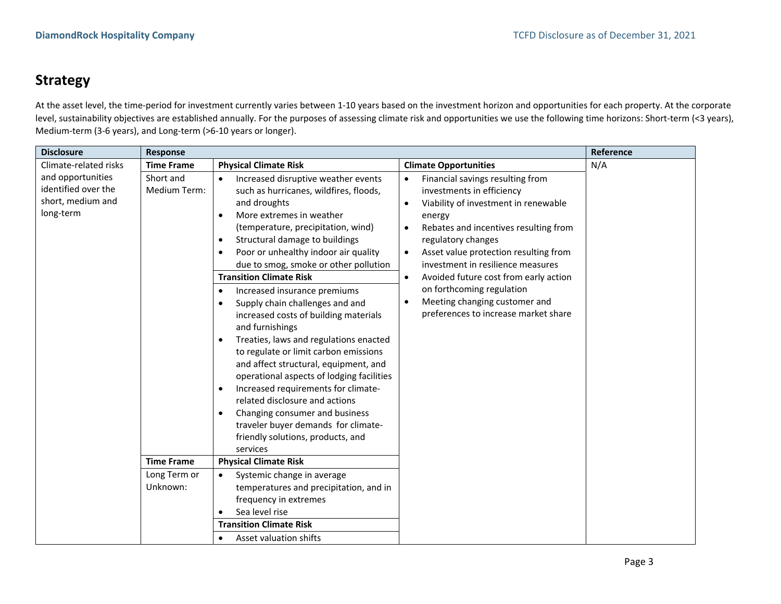## **Strategy**

At the asset level, the time-period for investment currently varies between 1-10 years based on the investment horizon and opportunities for each property. At the corporate level, sustainability objectives are established annually. For the purposes of assessing climate risk and opportunities we use the following time horizons: Short-term (<3 years), Medium‐term (3‐6 years), and Long‐term (>6‐10 years or longer).

| <b>Disclosure</b>                                                          | <b>Response</b>           |                                                                                                                                                                                                                                                                                                                                                                                                                                                                                                                                                                                                                                                                                                                                                                                                                                                                                                             |                                                                                                                                                                                                                                                                                                                                                                                                                                                                 | Reference |
|----------------------------------------------------------------------------|---------------------------|-------------------------------------------------------------------------------------------------------------------------------------------------------------------------------------------------------------------------------------------------------------------------------------------------------------------------------------------------------------------------------------------------------------------------------------------------------------------------------------------------------------------------------------------------------------------------------------------------------------------------------------------------------------------------------------------------------------------------------------------------------------------------------------------------------------------------------------------------------------------------------------------------------------|-----------------------------------------------------------------------------------------------------------------------------------------------------------------------------------------------------------------------------------------------------------------------------------------------------------------------------------------------------------------------------------------------------------------------------------------------------------------|-----------|
| Climate-related risks                                                      | <b>Time Frame</b>         | <b>Physical Climate Risk</b>                                                                                                                                                                                                                                                                                                                                                                                                                                                                                                                                                                                                                                                                                                                                                                                                                                                                                | <b>Climate Opportunities</b>                                                                                                                                                                                                                                                                                                                                                                                                                                    | N/A       |
| and opportunities<br>identified over the<br>short, medium and<br>long-term | Short and<br>Medium Term: | Increased disruptive weather events<br>such as hurricanes, wildfires, floods,<br>and droughts<br>More extremes in weather<br>$\bullet$<br>(temperature, precipitation, wind)<br>Structural damage to buildings<br>$\bullet$<br>Poor or unhealthy indoor air quality<br>$\bullet$<br>due to smog, smoke or other pollution<br><b>Transition Climate Risk</b><br>Increased insurance premiums<br>$\bullet$<br>Supply chain challenges and and<br>٠<br>increased costs of building materials<br>and furnishings<br>Treaties, laws and regulations enacted<br>$\bullet$<br>to regulate or limit carbon emissions<br>and affect structural, equipment, and<br>operational aspects of lodging facilities<br>Increased requirements for climate-<br>$\bullet$<br>related disclosure and actions<br>Changing consumer and business<br>٠<br>traveler buyer demands for climate-<br>friendly solutions, products, and | Financial savings resulting from<br>investments in efficiency<br>Viability of investment in renewable<br>$\bullet$<br>energy<br>Rebates and incentives resulting from<br>$\bullet$<br>regulatory changes<br>Asset value protection resulting from<br>investment in resilience measures<br>Avoided future cost from early action<br>$\bullet$<br>on forthcoming regulation<br>Meeting changing customer and<br>$\bullet$<br>preferences to increase market share |           |
|                                                                            |                           | services                                                                                                                                                                                                                                                                                                                                                                                                                                                                                                                                                                                                                                                                                                                                                                                                                                                                                                    |                                                                                                                                                                                                                                                                                                                                                                                                                                                                 |           |
|                                                                            | <b>Time Frame</b>         | <b>Physical Climate Risk</b>                                                                                                                                                                                                                                                                                                                                                                                                                                                                                                                                                                                                                                                                                                                                                                                                                                                                                |                                                                                                                                                                                                                                                                                                                                                                                                                                                                 |           |
|                                                                            | Long Term or              | Systemic change in average<br>$\bullet$                                                                                                                                                                                                                                                                                                                                                                                                                                                                                                                                                                                                                                                                                                                                                                                                                                                                     |                                                                                                                                                                                                                                                                                                                                                                                                                                                                 |           |
|                                                                            | Unknown:                  | temperatures and precipitation, and in                                                                                                                                                                                                                                                                                                                                                                                                                                                                                                                                                                                                                                                                                                                                                                                                                                                                      |                                                                                                                                                                                                                                                                                                                                                                                                                                                                 |           |
|                                                                            |                           | frequency in extremes                                                                                                                                                                                                                                                                                                                                                                                                                                                                                                                                                                                                                                                                                                                                                                                                                                                                                       |                                                                                                                                                                                                                                                                                                                                                                                                                                                                 |           |
|                                                                            |                           | Sea level rise                                                                                                                                                                                                                                                                                                                                                                                                                                                                                                                                                                                                                                                                                                                                                                                                                                                                                              |                                                                                                                                                                                                                                                                                                                                                                                                                                                                 |           |
|                                                                            |                           | <b>Transition Climate Risk</b>                                                                                                                                                                                                                                                                                                                                                                                                                                                                                                                                                                                                                                                                                                                                                                                                                                                                              |                                                                                                                                                                                                                                                                                                                                                                                                                                                                 |           |
|                                                                            |                           | Asset valuation shifts                                                                                                                                                                                                                                                                                                                                                                                                                                                                                                                                                                                                                                                                                                                                                                                                                                                                                      |                                                                                                                                                                                                                                                                                                                                                                                                                                                                 |           |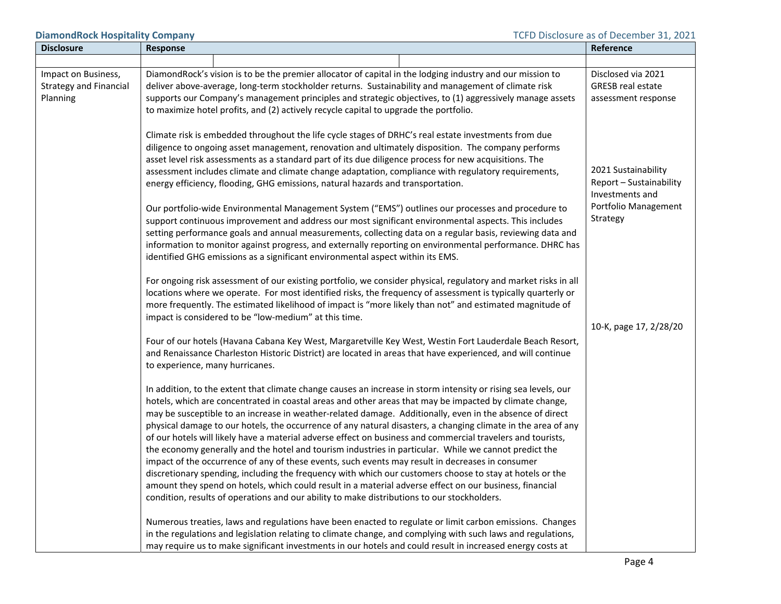**DiamondRock Hospitality Company DiamondRock Hospitality Company TCFD** Disclosure as of December 31, 2021

| <b>Disclosure</b>                                                | Response                                                                                                                                                                                                                                                                                                                                                                                                                                                                                                                                                                                                                                                                                                                                                                                                                                                                                                                                                                                                                                                                                                 | Reference                                                             |
|------------------------------------------------------------------|----------------------------------------------------------------------------------------------------------------------------------------------------------------------------------------------------------------------------------------------------------------------------------------------------------------------------------------------------------------------------------------------------------------------------------------------------------------------------------------------------------------------------------------------------------------------------------------------------------------------------------------------------------------------------------------------------------------------------------------------------------------------------------------------------------------------------------------------------------------------------------------------------------------------------------------------------------------------------------------------------------------------------------------------------------------------------------------------------------|-----------------------------------------------------------------------|
|                                                                  |                                                                                                                                                                                                                                                                                                                                                                                                                                                                                                                                                                                                                                                                                                                                                                                                                                                                                                                                                                                                                                                                                                          |                                                                       |
| Impact on Business,<br><b>Strategy and Financial</b><br>Planning | DiamondRock's vision is to be the premier allocator of capital in the lodging industry and our mission to<br>deliver above-average, long-term stockholder returns. Sustainability and management of climate risk<br>supports our Company's management principles and strategic objectives, to (1) aggressively manage assets<br>to maximize hotel profits, and (2) actively recycle capital to upgrade the portfolio.                                                                                                                                                                                                                                                                                                                                                                                                                                                                                                                                                                                                                                                                                    | Disclosed via 2021<br><b>GRESB real estate</b><br>assessment response |
|                                                                  | Climate risk is embedded throughout the life cycle stages of DRHC's real estate investments from due<br>diligence to ongoing asset management, renovation and ultimately disposition. The company performs<br>asset level risk assessments as a standard part of its due diligence process for new acquisitions. The<br>assessment includes climate and climate change adaptation, compliance with regulatory requirements,<br>energy efficiency, flooding, GHG emissions, natural hazards and transportation.                                                                                                                                                                                                                                                                                                                                                                                                                                                                                                                                                                                           | 2021 Sustainability<br>Report - Sustainability<br>Investments and     |
|                                                                  | Our portfolio-wide Environmental Management System ("EMS") outlines our processes and procedure to<br>support continuous improvement and address our most significant environmental aspects. This includes<br>setting performance goals and annual measurements, collecting data on a regular basis, reviewing data and<br>information to monitor against progress, and externally reporting on environmental performance. DHRC has<br>identified GHG emissions as a significant environmental aspect within its EMS.                                                                                                                                                                                                                                                                                                                                                                                                                                                                                                                                                                                    | Portfolio Management<br>Strategy                                      |
|                                                                  | For ongoing risk assessment of our existing portfolio, we consider physical, regulatory and market risks in all<br>locations where we operate. For most identified risks, the frequency of assessment is typically quarterly or<br>more frequently. The estimated likelihood of impact is "more likely than not" and estimated magnitude of<br>impact is considered to be "low-medium" at this time.                                                                                                                                                                                                                                                                                                                                                                                                                                                                                                                                                                                                                                                                                                     | 10-K, page 17, 2/28/20                                                |
|                                                                  | Four of our hotels (Havana Cabana Key West, Margaretville Key West, Westin Fort Lauderdale Beach Resort,<br>and Renaissance Charleston Historic District) are located in areas that have experienced, and will continue<br>to experience, many hurricanes.                                                                                                                                                                                                                                                                                                                                                                                                                                                                                                                                                                                                                                                                                                                                                                                                                                               |                                                                       |
|                                                                  | In addition, to the extent that climate change causes an increase in storm intensity or rising sea levels, our<br>hotels, which are concentrated in coastal areas and other areas that may be impacted by climate change,<br>may be susceptible to an increase in weather-related damage. Additionally, even in the absence of direct<br>physical damage to our hotels, the occurrence of any natural disasters, a changing climate in the area of any<br>of our hotels will likely have a material adverse effect on business and commercial travelers and tourists,<br>the economy generally and the hotel and tourism industries in particular. While we cannot predict the<br>impact of the occurrence of any of these events, such events may result in decreases in consumer<br>discretionary spending, including the frequency with which our customers choose to stay at hotels or the<br>amount they spend on hotels, which could result in a material adverse effect on our business, financial<br>condition, results of operations and our ability to make distributions to our stockholders. |                                                                       |
|                                                                  | Numerous treaties, laws and regulations have been enacted to regulate or limit carbon emissions. Changes<br>in the regulations and legislation relating to climate change, and complying with such laws and regulations,<br>may require us to make significant investments in our hotels and could result in increased energy costs at                                                                                                                                                                                                                                                                                                                                                                                                                                                                                                                                                                                                                                                                                                                                                                   |                                                                       |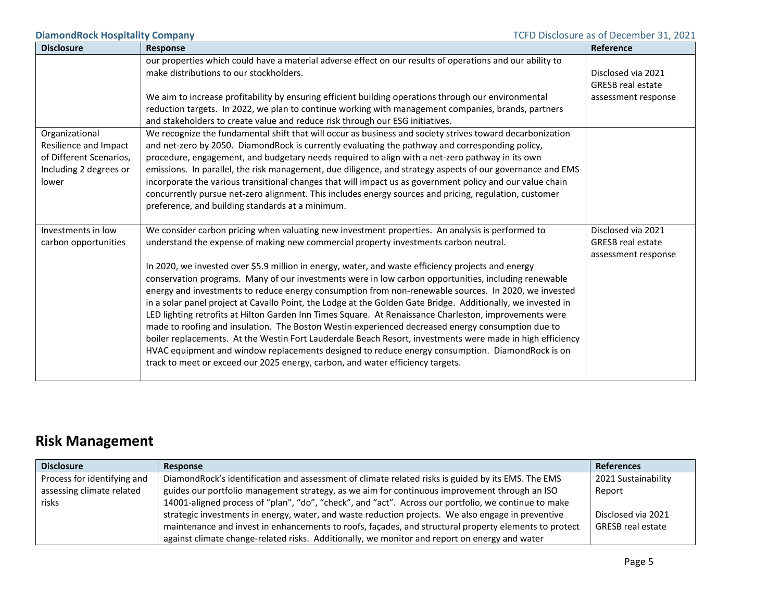| <b>Disclosure</b>               | <b>Response</b>                                                                                                                                                                                                                                                                                                                                                                                                                                                                                                                                                                                                                                                                                                                       | Reference                |
|---------------------------------|---------------------------------------------------------------------------------------------------------------------------------------------------------------------------------------------------------------------------------------------------------------------------------------------------------------------------------------------------------------------------------------------------------------------------------------------------------------------------------------------------------------------------------------------------------------------------------------------------------------------------------------------------------------------------------------------------------------------------------------|--------------------------|
|                                 | our properties which could have a material adverse effect on our results of operations and our ability to                                                                                                                                                                                                                                                                                                                                                                                                                                                                                                                                                                                                                             |                          |
|                                 | make distributions to our stockholders.                                                                                                                                                                                                                                                                                                                                                                                                                                                                                                                                                                                                                                                                                               | Disclosed via 2021       |
|                                 |                                                                                                                                                                                                                                                                                                                                                                                                                                                                                                                                                                                                                                                                                                                                       | <b>GRESB</b> real estate |
|                                 | We aim to increase profitability by ensuring efficient building operations through our environmental                                                                                                                                                                                                                                                                                                                                                                                                                                                                                                                                                                                                                                  | assessment response      |
|                                 | reduction targets. In 2022, we plan to continue working with management companies, brands, partners                                                                                                                                                                                                                                                                                                                                                                                                                                                                                                                                                                                                                                   |                          |
|                                 | and stakeholders to create value and reduce risk through our ESG initiatives.                                                                                                                                                                                                                                                                                                                                                                                                                                                                                                                                                                                                                                                         |                          |
| Organizational                  | We recognize the fundamental shift that will occur as business and society strives toward decarbonization                                                                                                                                                                                                                                                                                                                                                                                                                                                                                                                                                                                                                             |                          |
| Resilience and Impact           | and net-zero by 2050. DiamondRock is currently evaluating the pathway and corresponding policy,                                                                                                                                                                                                                                                                                                                                                                                                                                                                                                                                                                                                                                       |                          |
| of Different Scenarios,         | procedure, engagement, and budgetary needs required to align with a net-zero pathway in its own                                                                                                                                                                                                                                                                                                                                                                                                                                                                                                                                                                                                                                       |                          |
| Including 2 degrees or<br>lower | emissions. In parallel, the risk management, due diligence, and strategy aspects of our governance and EMS                                                                                                                                                                                                                                                                                                                                                                                                                                                                                                                                                                                                                            |                          |
|                                 | incorporate the various transitional changes that will impact us as government policy and our value chain<br>concurrently pursue net-zero alignment. This includes energy sources and pricing, regulation, customer                                                                                                                                                                                                                                                                                                                                                                                                                                                                                                                   |                          |
|                                 | preference, and building standards at a minimum.                                                                                                                                                                                                                                                                                                                                                                                                                                                                                                                                                                                                                                                                                      |                          |
|                                 |                                                                                                                                                                                                                                                                                                                                                                                                                                                                                                                                                                                                                                                                                                                                       |                          |
| Investments in low              | We consider carbon pricing when valuating new investment properties. An analysis is performed to                                                                                                                                                                                                                                                                                                                                                                                                                                                                                                                                                                                                                                      | Disclosed via 2021       |
| carbon opportunities            | understand the expense of making new commercial property investments carbon neutral.                                                                                                                                                                                                                                                                                                                                                                                                                                                                                                                                                                                                                                                  | <b>GRESB</b> real estate |
|                                 |                                                                                                                                                                                                                                                                                                                                                                                                                                                                                                                                                                                                                                                                                                                                       | assessment response      |
|                                 | In 2020, we invested over \$5.9 million in energy, water, and waste efficiency projects and energy                                                                                                                                                                                                                                                                                                                                                                                                                                                                                                                                                                                                                                    |                          |
|                                 | conservation programs. Many of our investments were in low carbon opportunities, including renewable                                                                                                                                                                                                                                                                                                                                                                                                                                                                                                                                                                                                                                  |                          |
|                                 |                                                                                                                                                                                                                                                                                                                                                                                                                                                                                                                                                                                                                                                                                                                                       |                          |
|                                 |                                                                                                                                                                                                                                                                                                                                                                                                                                                                                                                                                                                                                                                                                                                                       |                          |
|                                 |                                                                                                                                                                                                                                                                                                                                                                                                                                                                                                                                                                                                                                                                                                                                       |                          |
|                                 |                                                                                                                                                                                                                                                                                                                                                                                                                                                                                                                                                                                                                                                                                                                                       |                          |
|                                 |                                                                                                                                                                                                                                                                                                                                                                                                                                                                                                                                                                                                                                                                                                                                       |                          |
|                                 |                                                                                                                                                                                                                                                                                                                                                                                                                                                                                                                                                                                                                                                                                                                                       |                          |
|                                 |                                                                                                                                                                                                                                                                                                                                                                                                                                                                                                                                                                                                                                                                                                                                       |                          |
|                                 | energy and investments to reduce energy consumption from non-renewable sources. In 2020, we invested<br>in a solar panel project at Cavallo Point, the Lodge at the Golden Gate Bridge. Additionally, we invested in<br>LED lighting retrofits at Hilton Garden Inn Times Square. At Renaissance Charleston, improvements were<br>made to roofing and insulation. The Boston Westin experienced decreased energy consumption due to<br>boiler replacements. At the Westin Fort Lauderdale Beach Resort, investments were made in high efficiency<br>HVAC equipment and window replacements designed to reduce energy consumption. DiamondRock is on<br>track to meet or exceed our 2025 energy, carbon, and water efficiency targets. |                          |

# **Risk Management**

| <b>Disclosure</b>           | Response                                                                                              | <b>References</b>   |
|-----------------------------|-------------------------------------------------------------------------------------------------------|---------------------|
| Process for identifying and | DiamondRock's identification and assessment of climate related risks is guided by its EMS. The EMS    | 2021 Sustainability |
| assessing climate related   | guides our portfolio management strategy, as we aim for continuous improvement through an ISO         | Report              |
| risks                       | 14001-aligned process of "plan", "do", "check", and "act". Across our portfolio, we continue to make  |                     |
|                             | strategic investments in energy, water, and waste reduction projects. We also engage in preventive    | Disclosed via 2021  |
|                             | maintenance and invest in enhancements to roofs, façades, and structural property elements to protect | GRESB real estate   |
|                             | against climate change-related risks. Additionally, we monitor and report on energy and water         |                     |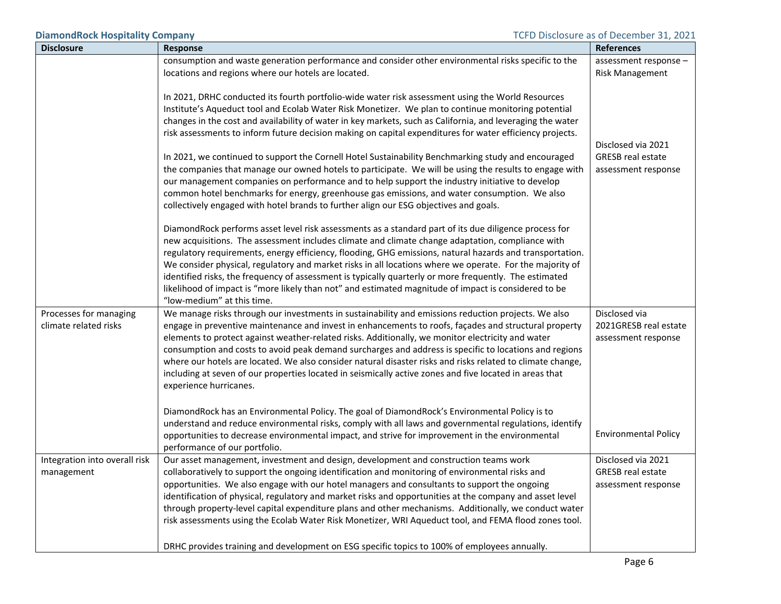| <b>Disclosure</b>                               | Response                                                                                                                                                                                                                                                                                                                                                                                                                                                                                                                                                                                                                                                                                                                                                                                                                                                                                                                                                                                                                                                                                                                                                                                                                                                                | <b>References</b>                                                     |
|-------------------------------------------------|-------------------------------------------------------------------------------------------------------------------------------------------------------------------------------------------------------------------------------------------------------------------------------------------------------------------------------------------------------------------------------------------------------------------------------------------------------------------------------------------------------------------------------------------------------------------------------------------------------------------------------------------------------------------------------------------------------------------------------------------------------------------------------------------------------------------------------------------------------------------------------------------------------------------------------------------------------------------------------------------------------------------------------------------------------------------------------------------------------------------------------------------------------------------------------------------------------------------------------------------------------------------------|-----------------------------------------------------------------------|
|                                                 | consumption and waste generation performance and consider other environmental risks specific to the                                                                                                                                                                                                                                                                                                                                                                                                                                                                                                                                                                                                                                                                                                                                                                                                                                                                                                                                                                                                                                                                                                                                                                     | assessment response -                                                 |
|                                                 | locations and regions where our hotels are located.                                                                                                                                                                                                                                                                                                                                                                                                                                                                                                                                                                                                                                                                                                                                                                                                                                                                                                                                                                                                                                                                                                                                                                                                                     | <b>Risk Management</b>                                                |
|                                                 | In 2021, DRHC conducted its fourth portfolio-wide water risk assessment using the World Resources<br>Institute's Aqueduct tool and Ecolab Water Risk Monetizer. We plan to continue monitoring potential<br>changes in the cost and availability of water in key markets, such as California, and leveraging the water<br>risk assessments to inform future decision making on capital expenditures for water efficiency projects.<br>In 2021, we continued to support the Cornell Hotel Sustainability Benchmarking study and encouraged<br>the companies that manage our owned hotels to participate. We will be using the results to engage with<br>our management companies on performance and to help support the industry initiative to develop<br>common hotel benchmarks for energy, greenhouse gas emissions, and water consumption. We also<br>collectively engaged with hotel brands to further align our ESG objectives and goals.<br>DiamondRock performs asset level risk assessments as a standard part of its due diligence process for<br>new acquisitions. The assessment includes climate and climate change adaptation, compliance with<br>regulatory requirements, energy efficiency, flooding, GHG emissions, natural hazards and transportation. | Disclosed via 2021<br><b>GRESB real estate</b><br>assessment response |
|                                                 | We consider physical, regulatory and market risks in all locations where we operate. For the majority of<br>identified risks, the frequency of assessment is typically quarterly or more frequently. The estimated<br>likelihood of impact is "more likely than not" and estimated magnitude of impact is considered to be<br>"low-medium" at this time.                                                                                                                                                                                                                                                                                                                                                                                                                                                                                                                                                                                                                                                                                                                                                                                                                                                                                                                |                                                                       |
| Processes for managing<br>climate related risks | We manage risks through our investments in sustainability and emissions reduction projects. We also<br>engage in preventive maintenance and invest in enhancements to roofs, façades and structural property<br>elements to protect against weather-related risks. Additionally, we monitor electricity and water<br>consumption and costs to avoid peak demand surcharges and address is specific to locations and regions<br>where our hotels are located. We also consider natural disaster risks and risks related to climate change,<br>including at seven of our properties located in seismically active zones and five located in areas that<br>experience hurricanes.                                                                                                                                                                                                                                                                                                                                                                                                                                                                                                                                                                                          | Disclosed via<br>2021GRESB real estate<br>assessment response         |
|                                                 | DiamondRock has an Environmental Policy. The goal of DiamondRock's Environmental Policy is to<br>understand and reduce environmental risks, comply with all laws and governmental regulations, identify<br>opportunities to decrease environmental impact, and strive for improvement in the environmental<br>performance of our portfolio.                                                                                                                                                                                                                                                                                                                                                                                                                                                                                                                                                                                                                                                                                                                                                                                                                                                                                                                             | <b>Environmental Policy</b>                                           |
| Integration into overall risk<br>management     | Our asset management, investment and design, development and construction teams work<br>collaboratively to support the ongoing identification and monitoring of environmental risks and<br>opportunities. We also engage with our hotel managers and consultants to support the ongoing<br>identification of physical, regulatory and market risks and opportunities at the company and asset level<br>through property-level capital expenditure plans and other mechanisms. Additionally, we conduct water<br>risk assessments using the Ecolab Water Risk Monetizer, WRI Aqueduct tool, and FEMA flood zones tool.                                                                                                                                                                                                                                                                                                                                                                                                                                                                                                                                                                                                                                                   | Disclosed via 2021<br><b>GRESB real estate</b><br>assessment response |
|                                                 | DRHC provides training and development on ESG specific topics to 100% of employees annually.                                                                                                                                                                                                                                                                                                                                                                                                                                                                                                                                                                                                                                                                                                                                                                                                                                                                                                                                                                                                                                                                                                                                                                            |                                                                       |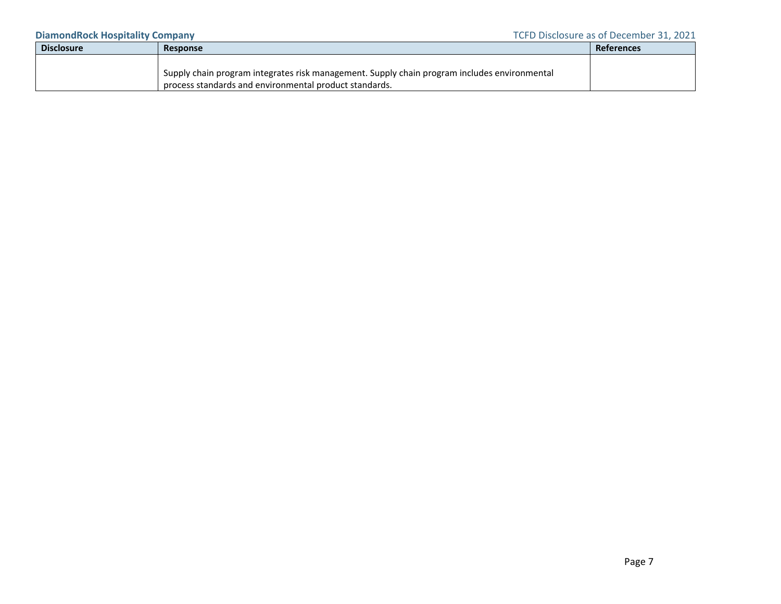| <b>Disclosure</b> | Response                                                                                     | References |
|-------------------|----------------------------------------------------------------------------------------------|------------|
|                   |                                                                                              |            |
|                   | Supply chain program integrates risk management. Supply chain program includes environmental |            |
|                   | process standards and environmental product standards.                                       |            |